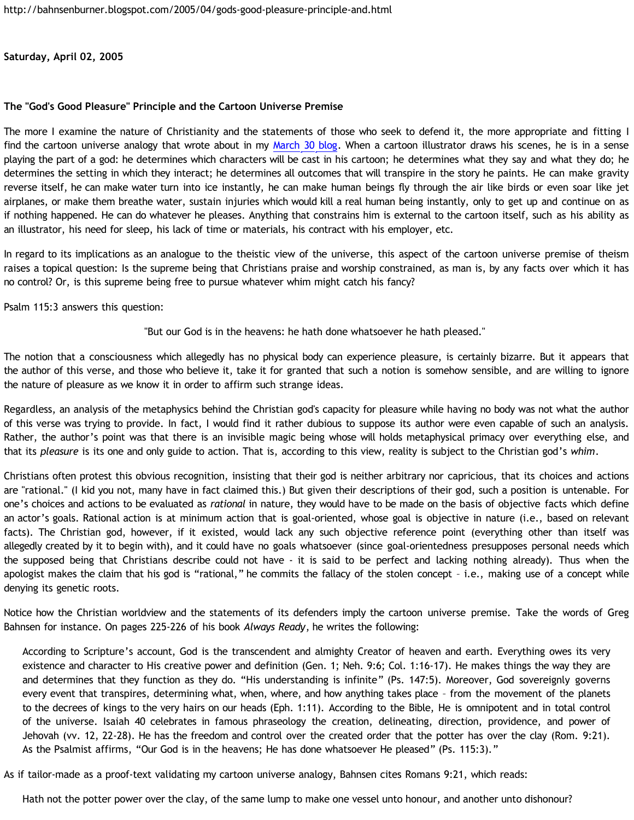**Saturday, April 02, 2005**

## **The "God's Good Pleasure" Principle and the Cartoon Universe Premise**

The more I examine the nature of Christianity and the statements of those who seek to defend it, the more appropriate and fitting I find the cartoon universe analogy that wrote about in my [March 30 blog](http://bahnsenburner.blogspot.com/2005/03/cartoon-universe-of-theism.html). When a cartoon illustrator draws his scenes, he is in a sense playing the part of a god: he determines which characters will be cast in his cartoon; he determines what they say and what they do; he determines the setting in which they interact; he determines all outcomes that will transpire in the story he paints. He can make gravity reverse itself, he can make water turn into ice instantly, he can make human beings fly through the air like birds or even soar like jet airplanes, or make them breathe water, sustain injuries which would kill a real human being instantly, only to get up and continue on as if nothing happened. He can do whatever he pleases. Anything that constrains him is external to the cartoon itself, such as his ability as an illustrator, his need for sleep, his lack of time or materials, his contract with his employer, etc.

In regard to its implications as an analogue to the theistic view of the universe, this aspect of the cartoon universe premise of theism raises a topical question: Is the supreme being that Christians praise and worship constrained, as man is, by any facts over which it has no control? Or, is this supreme being free to pursue whatever whim might catch his fancy?

Psalm 115:3 answers this question:

"But our God is in the heavens: he hath done whatsoever he hath pleased."

The notion that a consciousness which allegedly has no physical body can experience pleasure, is certainly bizarre. But it appears that the author of this verse, and those who believe it, take it for granted that such a notion is somehow sensible, and are willing to ignore the nature of pleasure as we know it in order to affirm such strange ideas.

Regardless, an analysis of the metaphysics behind the Christian god's capacity for pleasure while having no body was not what the author of this verse was trying to provide. In fact, I would find it rather dubious to suppose its author were even capable of such an analysis. Rather, the author's point was that there is an invisible magic being whose will holds metaphysical primacy over everything else, and that its *pleasure* is its one and only guide to action. That is, according to this view, reality is subject to the Christian god's *whim*.

Christians often protest this obvious recognition, insisting that their god is neither arbitrary nor capricious, that its choices and actions are "rational." (I kid you not, many have in fact claimed this.) But given their descriptions of their god, such a position is untenable. For one's choices and actions to be evaluated as *rational* in nature, they would have to be made on the basis of objective facts which define an actor's goals. Rational action is at minimum action that is goal-oriented, whose goal is objective in nature (i.e., based on relevant facts). The Christian god, however, if it existed, would lack any such objective reference point (everything other than itself was allegedly created by it to begin with), and it could have no goals whatsoever (since goal-orientedness presupposes personal needs which the supposed being that Christians describe could not have - it is said to be perfect and lacking nothing already). Thus when the apologist makes the claim that his god is "rational," he commits the fallacy of the stolen concept – i.e., making use of a concept while denying its genetic roots.

Notice how the Christian worldview and the statements of its defenders imply the cartoon universe premise. Take the words of Greg Bahnsen for instance. On pages 225-226 of his book *Always Ready*, he writes the following:

According to Scripture's account, God is the transcendent and almighty Creator of heaven and earth. Everything owes its very existence and character to His creative power and definition (Gen. 1; Neh. 9:6; Col. 1:16-17). He makes things the way they are and determines that they function as they do. "His understanding is infinite" (Ps. 147:5). Moreover, God sovereignly governs every event that transpires, determining what, when, where, and how anything takes place – from the movement of the planets to the decrees of kings to the very hairs on our heads (Eph. 1:11). According to the Bible, He is omnipotent and in total control of the universe. Isaiah 40 celebrates in famous phraseology the creation, delineating, direction, providence, and power of Jehovah (vv. 12, 22-28). He has the freedom and control over the created order that the potter has over the clay (Rom. 9:21). As the Psalmist affirms, "Our God is in the heavens; He has done whatsoever He pleased" (Ps. 115:3)."

As if tailor-made as a proof-text validating my cartoon universe analogy, Bahnsen cites Romans 9:21, which reads:

Hath not the potter power over the clay, of the same lump to make one vessel unto honour, and another unto dishonour?